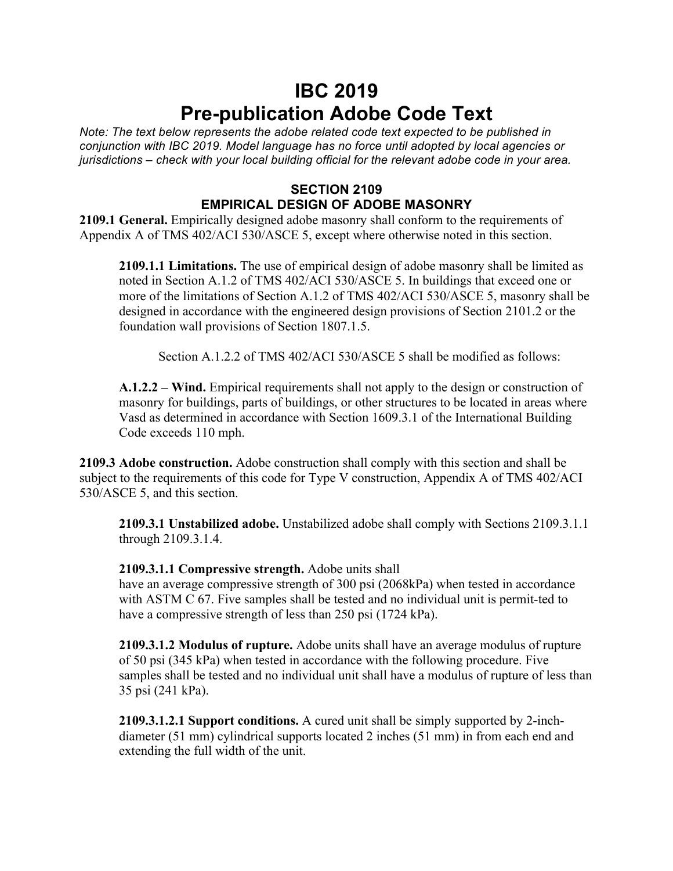## **IBC 2019 Pre-publication Adobe Code Text**

*Note: The text below represents the adobe related code text expected to be published in conjunction with IBC 2019. Model language has no force until adopted by local agencies or jurisdictions – check with your local building official for the relevant adobe code in your area.*

## **SECTION 2109 EMPIRICAL DESIGN OF ADOBE MASONRY**

**2109.1 General.** Empirically designed adobe masonry shall conform to the requirements of Appendix A of TMS 402/ACI 530/ASCE 5, except where otherwise noted in this section.

**2109.1.1 Limitations.** The use of empirical design of adobe masonry shall be limited as noted in Section A.1.2 of TMS 402/ACI 530/ASCE 5. In buildings that exceed one or more of the limitations of Section A.1.2 of TMS 402/ACI 530/ASCE 5, masonry shall be designed in accordance with the engineered design provisions of Section 2101.2 or the foundation wall provisions of Section 1807.1.5.

Section A.1.2.2 of TMS 402/ACI 530/ASCE 5 shall be modified as follows:

**A.1.2.2 – Wind.** Empirical requirements shall not apply to the design or construction of masonry for buildings, parts of buildings, or other structures to be located in areas where Vasd as determined in accordance with Section 1609.3.1 of the International Building Code exceeds 110 mph.

**2109.3 Adobe construction.** Adobe construction shall comply with this section and shall be subject to the requirements of this code for Type V construction, Appendix A of TMS 402/ACI 530/ASCE 5, and this section.

**2109.3.1 Unstabilized adobe.** Unstabilized adobe shall comply with Sections 2109.3.1.1 through 2109.3.1.4.

**2109.3.1.1 Compressive strength.** Adobe units shall

have an average compressive strength of 300 psi (2068kPa) when tested in accordance with ASTM C 67. Five samples shall be tested and no individual unit is permit-ted to have a compressive strength of less than 250 psi (1724 kPa).

**2109.3.1.2 Modulus of rupture.** Adobe units shall have an average modulus of rupture of 50 psi (345 kPa) when tested in accordance with the following procedure. Five samples shall be tested and no individual unit shall have a modulus of rupture of less than 35 psi (241 kPa).

**2109.3.1.2.1 Support conditions.** A cured unit shall be simply supported by 2-inchdiameter (51 mm) cylindrical supports located 2 inches (51 mm) in from each end and extending the full width of the unit.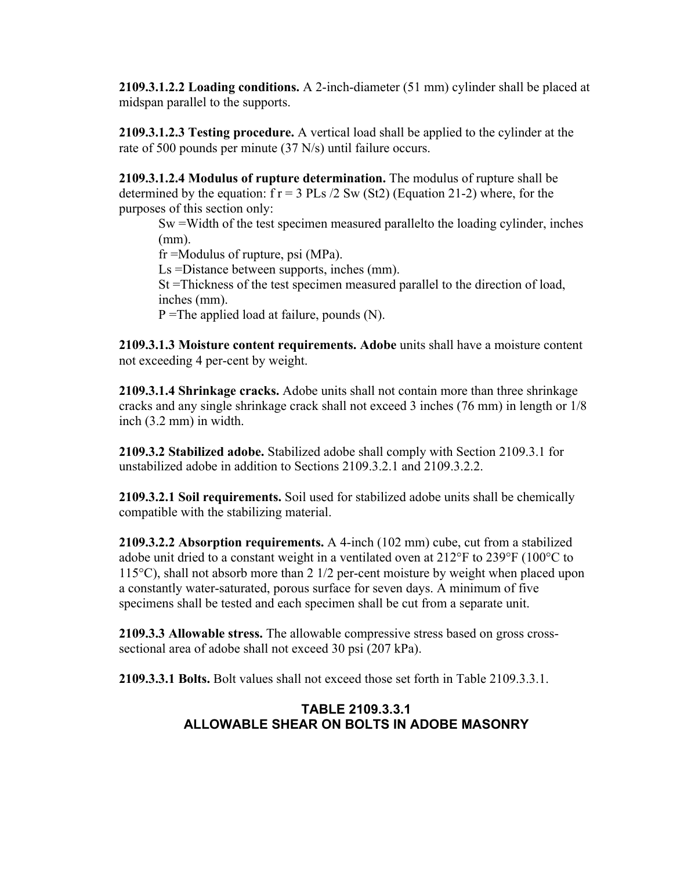**2109.3.1.2.2 Loading conditions.** A 2-inch-diameter (51 mm) cylinder shall be placed at midspan parallel to the supports.

**2109.3.1.2.3 Testing procedure.** A vertical load shall be applied to the cylinder at the rate of 500 pounds per minute (37 N/s) until failure occurs.

**2109.3.1.2.4 Modulus of rupture determination.** The modulus of rupture shall be determined by the equation:  $f r = 3 P Ls / 2 Sw (St2)$  (Equation 21-2) where, for the purposes of this section only:

Sw =Width of the test specimen measured parallelto the loading cylinder, inches (mm).

fr =Modulus of rupture, psi (MPa).

Ls =Distance between supports, inches (mm).

St =Thickness of the test specimen measured parallel to the direction of load, inches (mm).

 $P = The applied load at failure, pounds (N).$ 

**2109.3.1.3 Moisture content requirements. Adobe** units shall have a moisture content not exceeding 4 per-cent by weight.

**2109.3.1.4 Shrinkage cracks.** Adobe units shall not contain more than three shrinkage cracks and any single shrinkage crack shall not exceed 3 inches (76 mm) in length or 1/8 inch (3.2 mm) in width.

**2109.3.2 Stabilized adobe.** Stabilized adobe shall comply with Section 2109.3.1 for unstabilized adobe in addition to Sections 2109.3.2.1 and 2109.3.2.2.

**2109.3.2.1 Soil requirements.** Soil used for stabilized adobe units shall be chemically compatible with the stabilizing material.

**2109.3.2.2 Absorption requirements.** A 4-inch (102 mm) cube, cut from a stabilized adobe unit dried to a constant weight in a ventilated oven at 212°F to 239°F (100°C to 115°C), shall not absorb more than 2 1/2 per-cent moisture by weight when placed upon a constantly water-saturated, porous surface for seven days. A minimum of five specimens shall be tested and each specimen shall be cut from a separate unit.

**2109.3.3 Allowable stress.** The allowable compressive stress based on gross crosssectional area of adobe shall not exceed 30 psi (207 kPa).

**2109.3.3.1 Bolts.** Bolt values shall not exceed those set forth in Table 2109.3.3.1.

## **TABLE 2109.3.3.1 ALLOWABLE SHEAR ON BOLTS IN ADOBE MASONRY**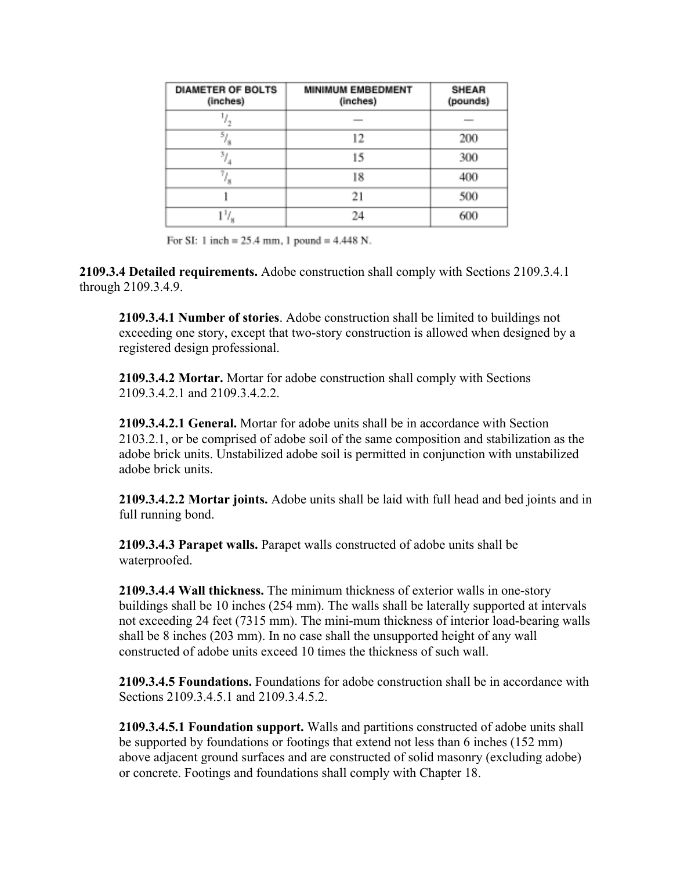| <b>DIAMETER OF BOLTS</b><br>(inches) | <b>MINIMUM EMBEDMENT</b><br>(inches) | <b>SHEAR</b><br>(pounds) |
|--------------------------------------|--------------------------------------|--------------------------|
|                                      |                                      |                          |
| s,                                   | 12                                   | 200                      |
|                                      | 15                                   | 300                      |
| N                                    | 18                                   | 400                      |
|                                      | 21                                   | 500                      |
|                                      | 24                                   | 600                      |

For SI: 1 inch =  $25.4$  mm, 1 pound =  $4.448$  N.

**2109.3.4 Detailed requirements.** Adobe construction shall comply with Sections 2109.3.4.1 through 2109.3.4.9.

**2109.3.4.1 Number of stories**. Adobe construction shall be limited to buildings not exceeding one story, except that two-story construction is allowed when designed by a registered design professional.

**2109.3.4.2 Mortar.** Mortar for adobe construction shall comply with Sections 2109.3.4.2.1 and 2109.3.4.2.2.

**2109.3.4.2.1 General.** Mortar for adobe units shall be in accordance with Section 2103.2.1, or be comprised of adobe soil of the same composition and stabilization as the adobe brick units. Unstabilized adobe soil is permitted in conjunction with unstabilized adobe brick units.

**2109.3.4.2.2 Mortar joints.** Adobe units shall be laid with full head and bed joints and in full running bond.

**2109.3.4.3 Parapet walls.** Parapet walls constructed of adobe units shall be waterproofed.

**2109.3.4.4 Wall thickness.** The minimum thickness of exterior walls in one-story buildings shall be 10 inches (254 mm). The walls shall be laterally supported at intervals not exceeding 24 feet (7315 mm). The mini-mum thickness of interior load-bearing walls shall be 8 inches (203 mm). In no case shall the unsupported height of any wall constructed of adobe units exceed 10 times the thickness of such wall.

**2109.3.4.5 Foundations.** Foundations for adobe construction shall be in accordance with Sections 2109.3.4.5.1 and 2109.3.4.5.2.

**2109.3.4.5.1 Foundation support.** Walls and partitions constructed of adobe units shall be supported by foundations or footings that extend not less than 6 inches (152 mm) above adjacent ground surfaces and are constructed of solid masonry (excluding adobe) or concrete. Footings and foundations shall comply with Chapter 18.